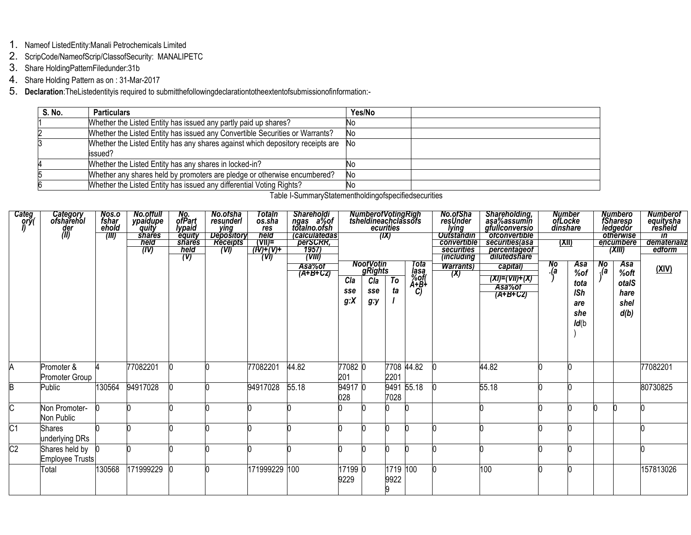- 1. Nameof ListedEntity:Manali Petrochemicals Limited
- 2. ScripCode/NameofScrip/ClassofSecurity: MANALIPETC
- 3. Share HoldingPatternFiledunder:31b
- 4. Share Holding Pattern as on: 31-Mar-2017
- 5. Declaration: The Listedentityis required to submitthefollowingdeclarationtotheextentofsubmissionofinformation:-

| S. No. | <b>Particulars</b>                                                                        | Yes/No |  |
|--------|-------------------------------------------------------------------------------------------|--------|--|
|        | Whether the Listed Entity has issued any partly paid up shares?                           | Νo     |  |
|        | Whether the Listed Entity has issued any Convertible Securities or Warrants?              | No     |  |
|        | Whether the Listed Entity has any shares against which depository receipts are<br>issued? | No     |  |
|        | Whether the Listed Entity has any shares in locked-in?                                    |        |  |
|        | Whether any shares held by promoters are pledge or otherwise encumbered?                  | No     |  |
|        | Whether the Listed Entity has issued any differential Voting Rights?                      | No     |  |

| Categ<br> ທຸກ   | Category<br>ofsharehol<br>der<br>(II) | Nos.o<br>fshar<br>ehold<br>(III) | <b>No.offull</b><br>ypaidupe<br>quity<br><b>shares</b><br>held<br>(IV) | No.<br>ofPart<br>lypaid<br>equity<br>shares<br>held<br>(V) | No.ofsha<br>resunderl<br><u>ying</u><br><b>Depository</b><br><b>Receipts</b><br>(VI) | <b>Totaln</b><br>os.sha<br>res<br>held<br>$\overline{(\overline{V} \overline{I})}$<br>7(N)+(V)+<br>(W) | Shareholdi<br>ngas a%of<br>totalno.ofsh<br><i><b>Calculatedas</b></i><br>perSCRR,<br>1957)<br>(VIII)<br>Asa%of<br>$\overline{(A+B+CZ)}$ | Cla<br>sse<br>g: X | NumberofVotingRigh<br>tsheldineachclassofs<br><b>NoofVotin</b><br>gRights<br>Cla<br>sse<br>$g:$ y | ecurities<br>(IX)<br>T <sub>o</sub><br>ta | Tota<br>$\begin{array}{c}\n\overline{\text{hasa}}\\ \% \text{ of } \\ A + B + \overline{\text{asa}}\n\end{array}$<br>C) | No.ofSha<br>resUnder<br>lying<br>Outstandin<br>convertible<br>securities<br><i>(including)</i><br><b>Warrants</b> )<br>(X) | Shareholding,<br>aşa%assumin<br>gfullconversio<br>ofconvertible<br>securities (asa<br>percentageof<br><del>dilutedshare</del><br>capital)<br>(XI)=(VII)+(X)<br>Asa%of<br>$\overline{(A+B+CZ)}$ | <b>Number<br/>ofLocke<br/>dinshare</b><br><u>(XII)</u><br>No<br>Q. | <b>Asa</b><br>%of<br>tota<br><b>ISh</b><br>are<br>she<br>Id(b) | <b>No</b> | Numbero<br>fSharesp<br>ledgedor<br>otherwise<br>encumbere<br>(XIII)<br>Asa<br>%oft<br>otalS<br>hare<br>shel<br>d(b) | Numberof<br>equitysha<br>resheld<br>$\overline{m}$<br>dematerializ<br>edform<br><u>(XIV)</u> |
|-----------------|---------------------------------------|----------------------------------|------------------------------------------------------------------------|------------------------------------------------------------|--------------------------------------------------------------------------------------|--------------------------------------------------------------------------------------------------------|-----------------------------------------------------------------------------------------------------------------------------------------|--------------------|---------------------------------------------------------------------------------------------------|-------------------------------------------|-------------------------------------------------------------------------------------------------------------------------|----------------------------------------------------------------------------------------------------------------------------|------------------------------------------------------------------------------------------------------------------------------------------------------------------------------------------------|--------------------------------------------------------------------|----------------------------------------------------------------|-----------|---------------------------------------------------------------------------------------------------------------------|----------------------------------------------------------------------------------------------|
| A               | Promoter &<br>Promoter Group          |                                  | 77082201                                                               |                                                            |                                                                                      | 77082201                                                                                               | 44.82                                                                                                                                   | 77082 0<br>201     |                                                                                                   | 2201                                      | 7708 44.82                                                                                                              |                                                                                                                            | 44.82                                                                                                                                                                                          |                                                                    |                                                                |           |                                                                                                                     | 77082201                                                                                     |
| B               | Public                                | 130564                           | 94917028                                                               |                                                            |                                                                                      | 94917028                                                                                               | 55.18                                                                                                                                   | 94917 0<br>028     |                                                                                                   | 7028                                      | 9491 55.18                                                                                                              |                                                                                                                            | 55.18                                                                                                                                                                                          |                                                                    |                                                                |           |                                                                                                                     | 80730825                                                                                     |
| C               | Non Promoter-<br>Non Public           |                                  |                                                                        |                                                            |                                                                                      |                                                                                                        |                                                                                                                                         |                    |                                                                                                   |                                           |                                                                                                                         |                                                                                                                            |                                                                                                                                                                                                |                                                                    |                                                                |           |                                                                                                                     |                                                                                              |
| $\overline{C1}$ | Shares<br>underlying DRs              |                                  |                                                                        |                                                            |                                                                                      |                                                                                                        |                                                                                                                                         |                    |                                                                                                   |                                           |                                                                                                                         |                                                                                                                            |                                                                                                                                                                                                |                                                                    |                                                                |           |                                                                                                                     |                                                                                              |
| $\overline{C2}$ | Shares held by (<br>Employee Trusts   |                                  |                                                                        |                                                            |                                                                                      |                                                                                                        |                                                                                                                                         |                    |                                                                                                   |                                           |                                                                                                                         |                                                                                                                            |                                                                                                                                                                                                |                                                                    |                                                                |           |                                                                                                                     |                                                                                              |
|                 | Total                                 | 130568                           | 171999229                                                              |                                                            |                                                                                      | 171999229 100                                                                                          |                                                                                                                                         | 17199 0<br>9229    |                                                                                                   | 1719 100<br>9922                          |                                                                                                                         |                                                                                                                            | 100                                                                                                                                                                                            |                                                                    |                                                                |           |                                                                                                                     | 157813026                                                                                    |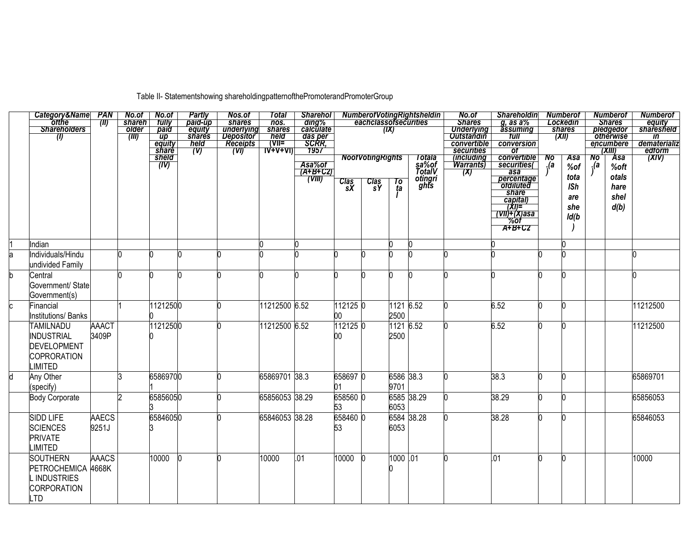Table II- Statementshowing shareholdingpatternofthePromoterandPromoterGroup

|   | Category&Name  PAN    |                | No.of               | No.of                     | Partly                    | Nos.of                         | Total           | <b>Sharehol</b>            | <b>NumberotVotingRightsheldin</b> |                                  |           |                 | No.of                                  | <b>Shareholdin</b>                        |     | <b>Numberot</b>                      |      | <b>Numberof</b>               | Numberot           |
|---|-----------------------|----------------|---------------------|---------------------------|---------------------------|--------------------------------|-----------------|----------------------------|-----------------------------------|----------------------------------|-----------|-----------------|----------------------------------------|-------------------------------------------|-----|--------------------------------------|------|-------------------------------|--------------------|
|   | otthe                 | $\blacksquare$ | shareh <sup>1</sup> | tully                     | paid-up                   | shares                         | nos.            | ding%                      |                                   | eachclassofsecurities            |           |                 | <b>Shares</b>                          | $g$ , as a $%$                            |     | Lockedin                             |      | <b>Shares</b>                 | equity             |
|   | <b>Shareholders</b>   |                | older               | paid                      | equity                    | underlying<br><b>Depositor</b> | shares          | calculate                  |                                   |                                  | (IX)      |                 | <b>Underlying</b><br><b>Outstandin</b> | assuming                                  |     | shares                               |      | pledgedor                     | <i>sharesheld</i>  |
|   | (1)                   |                | (III)               | $\overline{up}$<br>equity | <b>shares</b><br>held     | <b>Receipts</b>                | held<br>(T)     | das per<br>SCRR,           |                                   |                                  |           |                 | convertible                            | tull<br>conversion                        |     | $\overline{(\mathbf{X} \mathbf{I})}$ |      | <b>otherwise</b><br>encumbere | in<br>dematerializ |
|   |                       |                |                     | <i>share</i>              | $\overline{(\mathsf{V})}$ | (W)                            | <u>IA+A+AI)</u> | 1957                       |                                   |                                  |           |                 | securities                             | <b>of</b>                                 |     |                                      |      | (XIII)                        | edform             |
|   |                       |                |                     | sheld                     |                           |                                |                 |                            |                                   | <b>NoofVotingRights</b>          |           | Totala<br>sa%of | (including                             |                                           | No  | <b>Asa</b>                           | No   | <b>Asa</b>                    | $\overline{(XIV)}$ |
|   |                       |                |                     | (IV)                      |                           |                                |                 | Asa%of                     |                                   |                                  |           |                 | <b>Warrants</b>                        | convertible<br>securities(                | .(a | %of                                  | . (a | %oft                          |                    |
|   |                       |                |                     |                           |                           |                                |                 | $\overline{(A+B+CZ)}$      |                                   |                                  |           | <b>TotalV</b>   | (X)                                    | asa                                       |     | tota                                 |      | otals                         |                    |
|   |                       |                |                     |                           |                           |                                |                 | $\overline{\text{(VIII)}}$ | $\frac{\text{Class}}{\text{sX}}$  | $\frac{\text{Class}}{\text{sY}}$ | To<br>ta  | otingri<br>ghts |                                        | percentage                                |     |                                      |      |                               |                    |
|   |                       |                |                     |                           |                           |                                |                 |                            |                                   |                                  |           |                 |                                        | share                                     |     | <b>ISh</b>                           |      | hare                          |                    |
|   |                       |                |                     |                           |                           |                                |                 |                            |                                   |                                  |           |                 |                                        | capital)                                  |     | are                                  |      | shel                          |                    |
|   |                       |                |                     |                           |                           |                                |                 |                            |                                   |                                  |           |                 |                                        |                                           |     | she                                  |      | d(b)                          |                    |
|   |                       |                |                     |                           |                           |                                |                 |                            |                                   |                                  |           |                 |                                        | <u>(XI)="/<br/>(VII)+(X)asa"</u><br>"%of" |     | ld(b                                 |      |                               |                    |
|   |                       |                |                     |                           |                           |                                |                 |                            |                                   |                                  |           |                 |                                        | A+B+C2                                    |     |                                      |      |                               |                    |
|   |                       |                |                     |                           |                           |                                |                 |                            |                                   |                                  |           |                 |                                        |                                           |     |                                      |      |                               |                    |
|   | Indian                |                |                     |                           |                           |                                |                 |                            |                                   |                                  |           |                 |                                        |                                           |     |                                      |      |                               |                    |
| a | Individuals/Hindu     |                |                     |                           |                           |                                |                 |                            |                                   |                                  |           |                 |                                        |                                           |     |                                      |      |                               |                    |
|   | undivided Family      |                |                     |                           |                           |                                |                 |                            |                                   |                                  |           |                 |                                        |                                           |     |                                      |      |                               |                    |
| b | Central               |                |                     |                           |                           |                                |                 |                            |                                   |                                  |           |                 |                                        |                                           |     |                                      |      |                               |                    |
|   | Government/ State     |                |                     |                           |                           |                                |                 |                            |                                   |                                  |           |                 |                                        |                                           |     |                                      |      |                               |                    |
|   | Government(s)         |                |                     |                           |                           |                                |                 |                            |                                   |                                  |           |                 |                                        |                                           |     |                                      |      |                               |                    |
|   | Financial             |                |                     | 11212500                  |                           |                                | 11212500 6.52   |                            | 112125 0                          |                                  | 1121 6.52 |                 |                                        | 6.52                                      |     |                                      |      |                               | 11212500           |
|   | Institutions/ Banks   |                |                     |                           |                           |                                |                 |                            | 00                                |                                  | 2500      |                 |                                        |                                           |     |                                      |      |                               |                    |
|   | <b>TAMILNADU</b>      | <b>AAACT</b>   |                     | 11212500                  |                           |                                | 11212500 6.52   |                            | 1121250                           |                                  | 11216.52  |                 |                                        | 6.52                                      |     |                                      |      |                               | 11212500           |
|   | <b>INDUSTRIAL</b>     | 3409P          |                     |                           |                           |                                |                 |                            | 00                                |                                  | 2500      |                 |                                        |                                           |     |                                      |      |                               |                    |
|   |                       |                |                     |                           |                           |                                |                 |                            |                                   |                                  |           |                 |                                        |                                           |     |                                      |      |                               |                    |
|   | <b>DEVELOPMENT</b>    |                |                     |                           |                           |                                |                 |                            |                                   |                                  |           |                 |                                        |                                           |     |                                      |      |                               |                    |
|   | <b>COPRORATION</b>    |                |                     |                           |                           |                                |                 |                            |                                   |                                  |           |                 |                                        |                                           |     |                                      |      |                               |                    |
|   | LIMITED               |                |                     |                           |                           |                                |                 |                            |                                   |                                  |           |                 |                                        |                                           |     |                                      |      |                               |                    |
| И | Any Other             |                | ß.                  | 65869700                  |                           |                                | 65869701 38.3   |                            | 658697 0                          |                                  | 6586 38.3 |                 |                                        | 38.3                                      |     |                                      |      |                               | 65869701           |
|   | (specify)             |                |                     |                           |                           |                                |                 |                            | 01                                |                                  | 9701      |                 |                                        |                                           |     |                                      |      |                               |                    |
|   | <b>Body Corporate</b> |                | I2                  | 65856050                  |                           |                                | 65856053 38.29  |                            | 658560 0                          |                                  |           | 6585 38.29      |                                        | 38.29                                     |     |                                      |      |                               | 65856053           |
|   |                       |                |                     |                           |                           |                                |                 |                            |                                   |                                  | 6053      |                 |                                        |                                           |     |                                      |      |                               |                    |
|   |                       |                |                     |                           |                           |                                |                 |                            | 53                                |                                  |           |                 |                                        |                                           |     |                                      |      |                               |                    |
|   | <b>SIDD LIFE</b>      | <b>AAECS</b>   |                     | 65846050                  |                           |                                | 65846053 38.28  |                            | 658460 0                          |                                  |           | 6584 38.28      |                                        | 38.28                                     |     |                                      |      |                               | 65846053           |
|   | <b>SCIENCES</b>       | 9251J          |                     |                           |                           |                                |                 |                            | 53                                |                                  | 6053      |                 |                                        |                                           |     |                                      |      |                               |                    |
|   | <b>PRIVATE</b>        |                |                     |                           |                           |                                |                 |                            |                                   |                                  |           |                 |                                        |                                           |     |                                      |      |                               |                    |
|   | <b>LIMITED</b>        |                |                     |                           |                           |                                |                 |                            |                                   |                                  |           |                 |                                        |                                           |     |                                      |      |                               |                    |
|   | <b>SOUTHERN</b>       | <b>AAACS</b>   |                     | 10000                     | 'n                        |                                | 10000           | .01                        | 10000                             |                                  | 1000 .01  |                 |                                        | .01                                       |     |                                      |      |                               | 10000              |
|   | PETROCHEMICA 4668K    |                |                     |                           |                           |                                |                 |                            |                                   |                                  |           |                 |                                        |                                           |     |                                      |      |                               |                    |
|   | <b>INDUSTRIES</b>     |                |                     |                           |                           |                                |                 |                            |                                   |                                  |           |                 |                                        |                                           |     |                                      |      |                               |                    |
|   | <b>CORPORATION</b>    |                |                     |                           |                           |                                |                 |                            |                                   |                                  |           |                 |                                        |                                           |     |                                      |      |                               |                    |
|   |                       |                |                     |                           |                           |                                |                 |                            |                                   |                                  |           |                 |                                        |                                           |     |                                      |      |                               |                    |
|   | LTD                   |                |                     |                           |                           |                                |                 |                            |                                   |                                  |           |                 |                                        |                                           |     |                                      |      |                               |                    |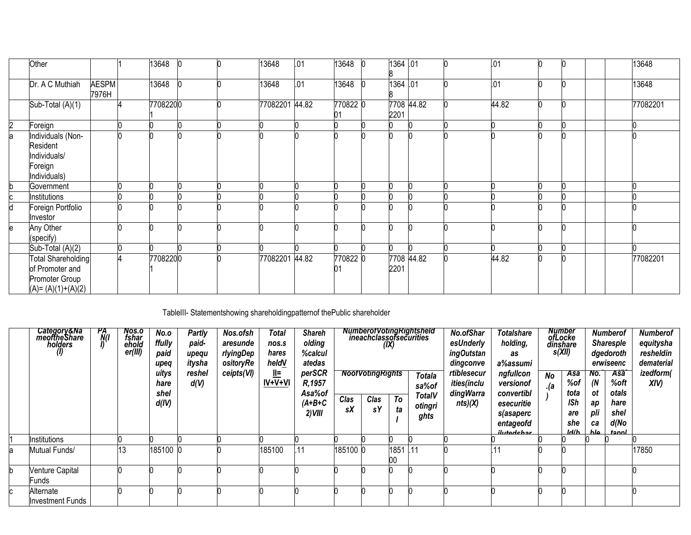|    | Other                                                                          |                       | 13648    |  | 13648          | .01 | 13648          | 1364 .01           |  | .01   |  |  | 13648    |
|----|--------------------------------------------------------------------------------|-----------------------|----------|--|----------------|-----|----------------|--------------------|--|-------|--|--|----------|
|    | Dr. A C Muthiah                                                                | <b>AESPM</b><br>7976H | 13648    |  | 13648          | .01 | 13648          | 1364 .01           |  | .01   |  |  | 13648    |
|    | Sub-Total (A)(1)                                                               |                       | 77082200 |  | 77082201 44.82 |     | 770822 0<br>01 | 7708 44.82<br>2201 |  | 44.82 |  |  | 77082201 |
| b. | Foreign                                                                        |                       |          |  |                |     |                |                    |  |       |  |  |          |
| a  | ndividuals (Non-<br>Resident<br>ndividuals/<br>Foreign<br>Individuals)         |                       |          |  |                |     |                |                    |  |       |  |  |          |
| h  | Government                                                                     |                       |          |  |                |     |                |                    |  |       |  |  |          |
|    | nstitutions                                                                    |                       |          |  |                |     |                |                    |  |       |  |  |          |
| d  | Foreign Portfolio<br>nvestor                                                   |                       |          |  |                |     |                |                    |  |       |  |  |          |
| e  | Any Other<br>(specify)                                                         |                       |          |  |                |     |                |                    |  |       |  |  |          |
|    | Sub-Total (A)(2)                                                               |                       |          |  |                |     |                |                    |  |       |  |  |          |
|    | Total Shareholding<br>of Promoter and<br>Promoter Group<br>$(A)=(A)(1)+(A)(2)$ |                       | 77082200 |  | 77082201 44.82 |     | 770822 0<br>01 | 7708 44.82<br>2201 |  | 44.82 |  |  | 77082201 |

## TableIII- Statementshowing shareholdingpatternof thePublic shareholder

|   | Category&Na<br>meofthe Share<br>holders<br>(I) | PA<br><b>NO</b> | Nos.o<br>fshar<br>ehold<br>er(III) | No.o<br>ffully<br>paid<br>upeq | <b>Partly</b><br>paid-<br>upequ<br>itysha | Nos.ofsh<br>aresunde<br>rlyingDep<br>ositoryRe | Total<br>nos.s<br>hares<br>heldV | <b>Shareh</b><br>olding<br>%calcul<br>atedas | <b>NumberofVotingRightsheld</b><br>ineachclassofsecurities<br>(IX)<br><b>NoofVotingRights</b><br>Totala |            |          |                 | No.ofShar<br>esUnderly<br><i>ingOutstan</i><br>dingconve | <b>Totalshare</b><br>holding,<br>as<br>a%assumi |           | <b>Number</b><br>ofLocke<br>dinshare<br>s(XII) |                  | <b>Numberof</b><br><b>Sharesple</b><br>dgedoroth<br>erwiseenc | <b>Numberof</b><br>equitysha<br>resheldin<br>dematerial |
|---|------------------------------------------------|-----------------|------------------------------------|--------------------------------|-------------------------------------------|------------------------------------------------|----------------------------------|----------------------------------------------|---------------------------------------------------------------------------------------------------------|------------|----------|-----------------|----------------------------------------------------------|-------------------------------------------------|-----------|------------------------------------------------|------------------|---------------------------------------------------------------|---------------------------------------------------------|
|   |                                                |                 |                                    | uitys<br>hare<br>shel          | reshel<br>d(V)                            | ceipts(VI)                                     | $\mathbf{L}$<br>$IV+V+VI$        | perSCR<br>R,1957<br>Asa%of                   |                                                                                                         |            |          | sa%of<br>TotalV | rtiblesecur<br>ities(inclu<br><b>dingWarra</b>           | ngfullcon<br>versionof<br>convertibl            | No<br>(a) | <b>Asa</b><br>%of<br>tota                      | No.<br>(N)<br>ot | <b>Asa</b><br>%oft<br>otals                                   | izedform(<br>XIV)                                       |
|   |                                                |                 |                                    | d(IV)                          |                                           |                                                |                                  | $(A+B+C$<br>$2)$ VIII                        | Clas<br>sΧ                                                                                              | Clas<br>sΥ | To<br>ta | otingri<br>ghts | nts)(X)                                                  | esecuritie<br>s(asaperc<br>entageofd            |           | <b>ISh</b><br>are<br>she                       | aр<br>pli<br>ca  | hare<br>shel<br>d(No                                          |                                                         |
|   |                                                |                 |                                    |                                |                                           |                                                |                                  |                                              |                                                                                                         |            |          |                 |                                                          | ilutadehar                                      |           | ld/h                                           | ا ماh            | tannl                                                         |                                                         |
|   | Institutions                                   |                 |                                    |                                |                                           |                                                |                                  |                                              |                                                                                                         |            |          |                 |                                                          |                                                 |           |                                                |                  |                                                               |                                                         |
| а | Mutual Funds/                                  |                 | 13                                 | 185100                         |                                           |                                                | 185100                           | .11                                          | 185100 0                                                                                                |            | 1851     | .11             |                                                          |                                                 |           |                                                |                  |                                                               | 17850                                                   |
|   | Venture Capital<br>Funds                       |                 |                                    |                                |                                           |                                                |                                  |                                              |                                                                                                         |            |          |                 |                                                          |                                                 |           |                                                |                  |                                                               |                                                         |
|   | Alternate                                      |                 |                                    |                                |                                           |                                                |                                  |                                              |                                                                                                         |            |          |                 |                                                          |                                                 |           |                                                |                  |                                                               |                                                         |
|   | <b>Investment Funds</b>                        |                 |                                    |                                |                                           |                                                |                                  |                                              |                                                                                                         |            |          |                 |                                                          |                                                 |           |                                                |                  |                                                               |                                                         |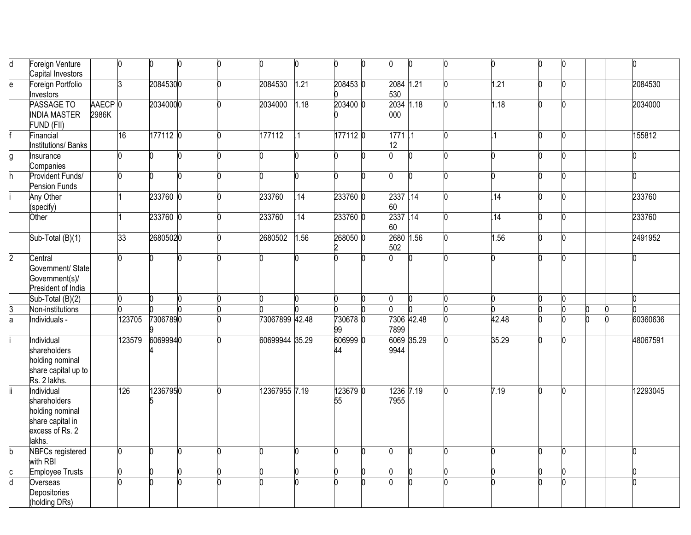| d              | Foreign Venture<br>Capital Investors                                                           |                  | $\mathbf{0}$ | 0        |    | U | 10             |      | n.             | n | 0                  | $\Omega$ | n     | 0 |   | U        |
|----------------|------------------------------------------------------------------------------------------------|------------------|--------------|----------|----|---|----------------|------|----------------|---|--------------------|----------|-------|---|---|----------|
| $\overline{e}$ | Foreign Portfolio<br>Investors                                                                 |                  | 3            | 20845300 |    | n | 2084530        | 1.21 | 208453 0       |   | 2084 1.21<br>530   |          | 1.21  | n |   | 2084530  |
|                | PASSAGE TO<br><b>INDIA MASTER</b><br>FUND (FII)                                                | AAECP 0<br>2986K |              | 20340000 |    |   | 2034000        | 1.18 | 203400 0       |   | 2034 1.18<br>000   |          | 1.18  |   |   | 2034000  |
|                | Financial<br><b>Institutions/Banks</b>                                                         |                  | 16           | 177112 0 |    |   | 177112         |      | 177112 0       |   | 1771.1<br>12       |          | 1     | n |   | 155812   |
| g              | Insurance<br>Companies                                                                         |                  |              |          |    |   |                |      |                |   | n                  | n        | n     |   |   |          |
|                | Provident Funds/<br><b>Pension Funds</b>                                                       |                  |              |          |    |   |                |      |                |   | n                  |          |       |   |   |          |
|                | Any Other<br>(specify)                                                                         |                  |              | 233760 0 |    |   | 233760         | .14  | 233760 0       |   | 2337.14<br>60      |          | .14   |   |   | 233760   |
|                | Other                                                                                          |                  |              | 233760 0 |    |   | 233760         | .14  | 233760 0       |   | 2337.14<br>60      |          | .14   | n |   | 233760   |
|                | Sub-Total (B)(1)                                                                               |                  | 33           | 26805020 |    |   | 2680502        | 1.56 | 268050 0       |   | 2680 1.56<br>502   |          | 1.56  | n |   | 2491952  |
| 2              | Central<br>Government/ State<br>Government(s)/<br>President of India                           |                  |              |          |    |   |                |      |                |   |                    |          |       |   |   |          |
|                | Sub-Total (B)(2)                                                                               |                  |              |          |    |   |                |      |                |   |                    |          |       |   |   |          |
|                | Non-institutions                                                                               |                  |              |          |    |   |                |      |                |   |                    |          |       |   |   |          |
| $\frac{3}{a}$  | Individuals -                                                                                  |                  | 123705       | 73067890 |    |   | 73067899 42.48 |      | 730678 0<br>99 |   | 7306 42.48<br>7899 |          | 42.48 |   | n | 60360636 |
|                | Individual<br>shareholders<br>holding nominal<br>share capital up to<br>Rs. 2 lakhs.           |                  | 123579       | 60699940 |    |   | 60699944 35.29 |      | 6069990        |   | 6069 35.29<br>9944 |          | 35.29 |   |   | 48067591 |
|                | Individual<br>shareholders<br>holding nominal<br>share capital in<br>excess of Rs. 2<br>lakhs. |                  | 126          | 12367950 |    |   | 12367955 7.19  |      | 123679 0<br>55 |   | 1236 7.19<br>7955  |          | 7.19  |   |   | 12293045 |
| $\mathsf{b}$   | <b>NBFCs registered</b><br>with RBI                                                            |                  | O            | n        | In | n | n              |      | U              |   | n                  | b        | n     | n |   |          |
|                | <b>Employee Trusts</b>                                                                         |                  |              |          |    |   |                |      | n              |   |                    |          |       |   |   |          |
| $\frac{c}{d}$  | Overseas<br>Depositories<br>(holding DRs)                                                      |                  |              |          |    |   |                |      |                |   |                    |          |       |   |   |          |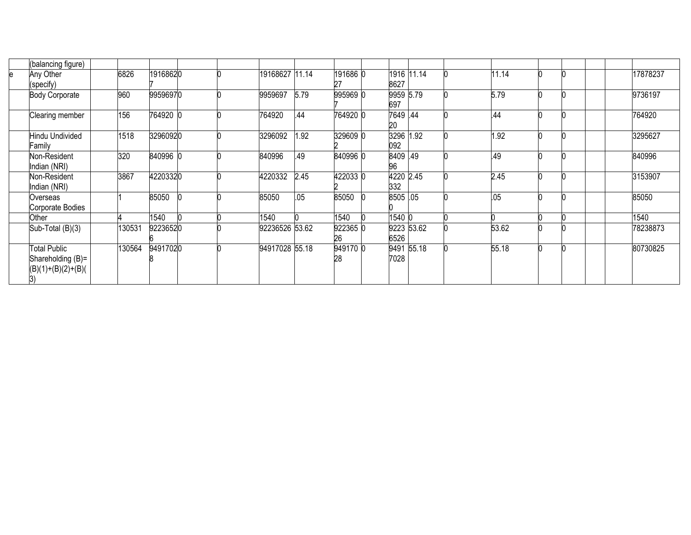| (balancing figure)                                              |        |          |  |                |      |                |                    |  |       |  |        |          |
|-----------------------------------------------------------------|--------|----------|--|----------------|------|----------------|--------------------|--|-------|--|--------|----------|
| Any Other<br>e                                                  | 6826   | 19168620 |  | 19168627 11.14 |      | 191686 0       | 1916 11.14         |  | 11.14 |  |        | 17878237 |
| (specify)                                                       |        |          |  |                |      | 27             | 8627               |  |       |  |        |          |
| <b>Body Corporate</b>                                           | 960    | 99596970 |  | 9959697        | 5.79 | 995969 0       | 9959 5.79<br>697   |  | 5.79  |  |        | 9736197  |
| Clearing member                                                 | 156    | 764920 0 |  | 764920         | .44  | 764920 0       | 7649 .44<br>20     |  | .44   |  |        | 764920   |
| Hindu Undivided<br>Family                                       | 1518   | 32960920 |  | 3296092        | 1.92 | 329609 0       | 3296 1.92<br>092   |  | 1.92  |  |        | 3295627  |
| Non-Resident<br>Indian (NRI)                                    | 320    | 840996 0 |  | 840996         | .49  | 840996 0       | 8409 49<br>96      |  | .49   |  | 840996 |          |
| Non-Resident<br>Indian (NRI)                                    | 3867   | 42203320 |  | 4220332        | 2.45 | 4220330        | 4220 2.45<br>332   |  | 2.45  |  |        | 3153907  |
| Overseas<br>Corporate Bodies                                    |        | 85050    |  | 85050          | .05  | 85050          | 8505 .05           |  | .05   |  | 85050  |          |
| Other                                                           |        | 1540     |  | 1540           |      | 1540           | 1540 0             |  |       |  | 1540   |          |
| Sub-Total (B)(3)                                                | 130531 | 92236520 |  | 92236526 53.62 |      | 922365 0<br>26 | 9223 53.62<br>6526 |  | 53.62 |  |        | 78238873 |
| Total Public<br>Shareholding (B)=<br>$(B)(1)+(B)(2)+(B)($<br>3) | 130564 | 94917020 |  | 94917028 55.18 |      | 949170 0<br>28 | 9491 55.18<br>7028 |  | 55.18 |  |        | 80730825 |